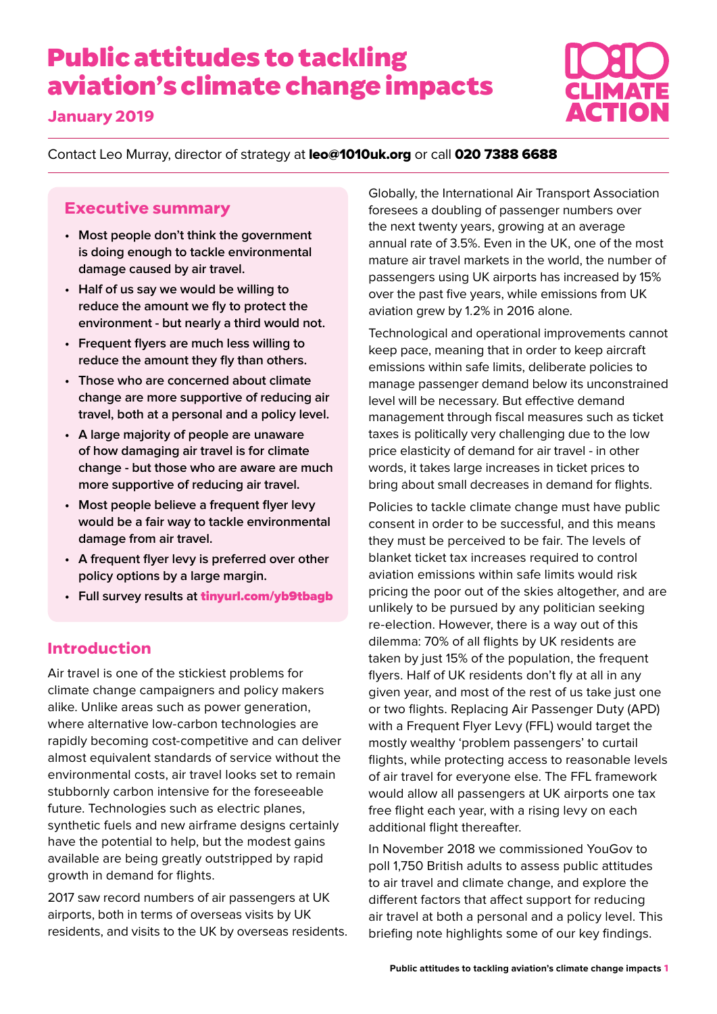# **Public attitudes to tackling aviation's climate change impacts**

#### **January 2019**



Contact Leo Murray, director of strategy at leo@1010uk.org or call 020 7388 6688

#### **Executive summary**

- **• Most people don't think the government is doing enough to tackle environmental damage caused by air travel.**
- **• Half of us say we would be willing to reduce the amount we fly to protect the environment - but nearly a third would not.**
- **• Frequent flyers are much less willing to reduce the amount they fly than others.**
- **• Those who are concerned about climate change are more supportive of reducing air travel, both at a personal and a policy level.**
- **• A large majority of people are unaware of how damaging air travel is for climate change - but those who are aware are much more supportive of reducing air travel.**
- **• Most people believe a frequent flyer levy would be a fair way to tackle environmental damage from air travel.**
- **• A frequent flyer levy is preferred over other policy options by a large margin.**
- **• Full survey results at** tinyurl.com/yb9tbagb

#### **Introduction**

Air travel is one of the stickiest problems for climate change campaigners and policy makers alike. Unlike areas such as power generation, where alternative low-carbon technologies are rapidly becoming cost-competitive and can deliver almost equivalent standards of service without the environmental costs, air travel looks set to remain stubbornly carbon intensive for the foreseeable future. Technologies such as electric planes, synthetic fuels and new airframe designs certainly have the potential to help, but the modest gains available are being greatly outstripped by rapid growth in demand for flights.

2017 saw record numbers of air passengers at UK airports, both in terms of overseas visits by UK residents, and visits to the UK by overseas residents. Globally, the International Air Transport Association foresees a doubling of passenger numbers over the next twenty years, growing at an average annual rate of 3.5%. Even in the UK, one of the most mature air travel markets in the world, the number of passengers using UK airports has increased by 15% over the past five years, while emissions from UK aviation grew by 1.2% in 2016 alone.

Technological and operational improvements cannot keep pace, meaning that in order to keep aircraft emissions within safe limits, deliberate policies to manage passenger demand below its unconstrained level will be necessary. But effective demand management through fiscal measures such as ticket taxes is politically very challenging due to the low price elasticity of demand for air travel - in other words, it takes large increases in ticket prices to bring about small decreases in demand for flights.

Policies to tackle climate change must have public consent in order to be successful, and this means they must be perceived to be fair. The levels of blanket ticket tax increases required to control aviation emissions within safe limits would risk pricing the poor out of the skies altogether, and are unlikely to be pursued by any politician seeking re-election. However, there is a way out of this dilemma: 70% of all flights by UK residents are taken by just 15% of the population, the frequent flyers. Half of UK residents don't fly at all in any given year, and most of the rest of us take just one or two flights. Replacing Air Passenger Duty (APD) with a Frequent Flyer Levy (FFL) would target the mostly wealthy 'problem passengers' to curtail flights, while protecting access to reasonable levels of air travel for everyone else. The FFL framework would allow all passengers at UK airports one tax free flight each year, with a rising levy on each additional flight thereafter.

In November 2018 we commissioned YouGov to poll 1,750 British adults to assess public attitudes to air travel and climate change, and explore the different factors that affect support for reducing air travel at both a personal and a policy level. This briefing note highlights some of our key findings.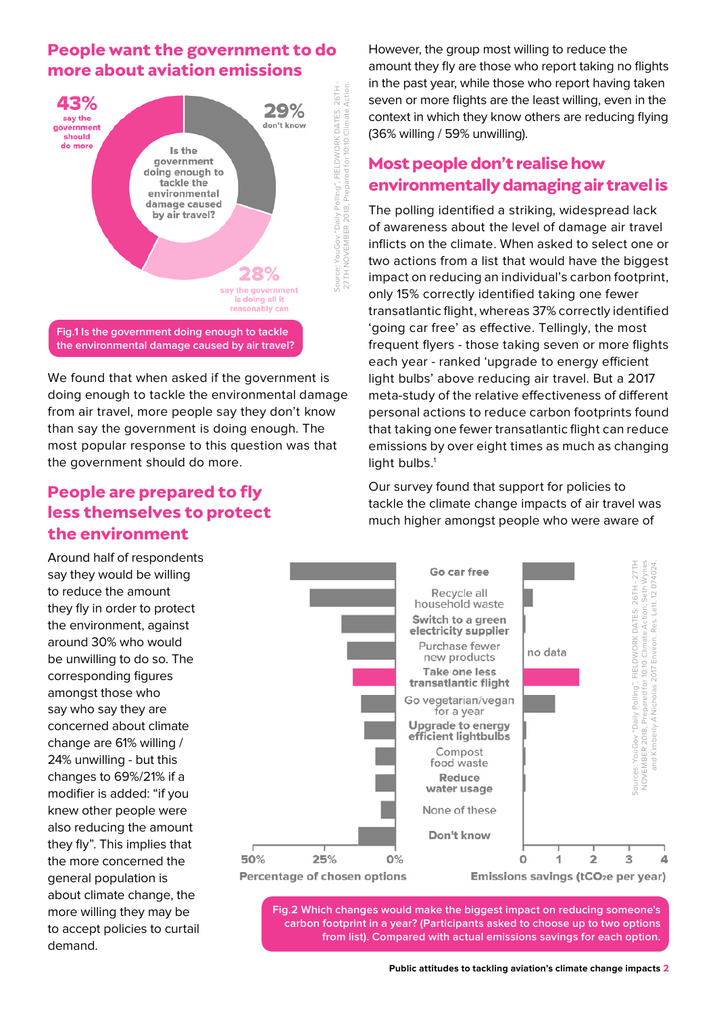## **People want the government to do more about aviation emissions**



**the environmental damage caused by air travel?**

We found that when asked if the government is doing enough to tackle the environmental damage from air travel, more people say they don't know than say the government is doing enough. The most popular response to this question was that the government should do more.

## **People are prepared to fly less themselves to protect the environment**

Around half of respondents say they would be willing to reduce the amount they fly in order to protect the environment, against around 30% who would be unwilling to do so. The corresponding figures amongst those who say who say they are concerned about climate change are 61% willing / 24% unwilling - but this changes to 69%/21% if a modifier is added: "if you knew other people were also reducing the amount they fly". This implies that the more concerned the general population is about climate change, the more willing they may be to accept policies to curtail demand.

However, the group most willing to reduce the amount they fly are those who report taking no flights in the past year, while those who report having taken seven or more flights are the least willing, even in the context in which they know others are reducing flying (36% willing / 59% unwilling).

# **Most people don't realise how environmentally damaging air travel is**

The polling identified a striking, widespread lack of awareness about the level of damage air travel inflicts on the climate. When asked to select one or two actions from a list that would have the biggest impact on reducing an individual's carbon footprint, only 15% correctly identified taking one fewer transatlantic flight, whereas 37% correctly identified 'going car free' as effective. Tellingly, the most frequent flyers - those taking seven or more flights each year - ranked 'upgrade to energy efficient light bulbs' above reducing air travel. But a 2017 meta-study of the relative effectiveness of different personal actions to reduce carbon footprints found that taking one fewer transatlantic flight can reduce emissions by over eight times as much as changing light bulbs. $<sup>1</sup>$ </sup>

Our survey found that support for policies to tackle the climate change impacts of air travel was much higher amongst people who were aware of



**Fig.2 Which changes would make the biggest impact on reducing someone's carbon footprint in a year? (Participants asked to choose up to two options**